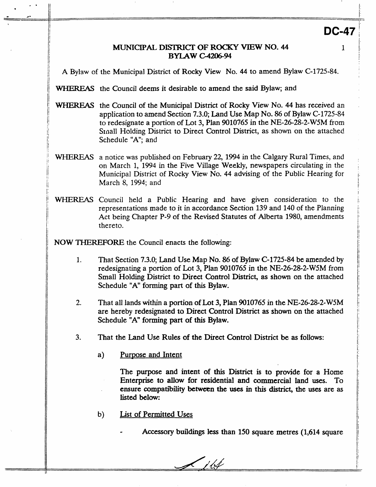# **DC-47**

1

### MUNICIPAL **DISI'RICI' OF ROCKY VlEW NO. 44 BYLAW C-4206-94**

/i A Bylaw of the Municipal District of **Rocky** View No. **44** to amend Bylaw **C-1725-84.** 

<sup>1</sup>*7KHEREAs* the Council deems it desirable to amend the said Bylaw; and

- ' WHEREAS the Council of the Municipal District of **Rocky** View No. **44** has received an appiication to amend Section 7.3.0; Land Use Map No. 86 of Bylaw C-1725-84 to redesignate a portion of Lot 3, Plan 9010765 in the NE-26-28-2-W5M from 1: **Small** Holding District to Direct Control District, **as** shown on the attached Schedule "A"; and
- March 8, 1994; and WHEREAS a notice was published on February 22, 1994 in the Calgary Rural Times, and on March 1, 1994 in the Five Village Weekly, newspapers circulating in the Municipal District of Rocky View No. **44** advising of the Public Hearing for
- WHEREAS Council held a Public Hearing and have given consideration to the representations made to it in accordance Section **139** and 140 of the Planning Act being Chapter P-9 of the Revised Statutes of Alberta 1980, amendments thereto.

NOW **THEREFORE** the Council enacts the following:

i1

I'

11

 $\parallel$ 

1;

11

- 1. That Section **7.3.0;** Land Use Map No. 86 of **Bylaw C-1725-84** be amended **by**  redesignating a portion of Lot 3, Plan **9010765** in the **NE-26-28-2-W5M** from Small **Holding** District to Direct **Control** District, **as** shown **on** the attached Schedule "A" **forming** part of this Bylaw.
- 2. That all lands within a portion of Lot 3, Plan 9010765 in the **NE-26-28-2-W5M**  are hereby redesignated to Direct Control District **as** shown on the attached Schedule **"A" forming** part **of this** Bylaw.
- **3.** That the Land Use **Rules of** the Direct Control District be **as** follows:
	- a) Purpose and Intent

The purpose and intent of **this** District is **to** provide for a Home Enterprise to **allow** for residential and commercial land **uses.** To **ensure** cornpatiiility between **the uses** in **this district,** the **uses** are **as**  listed **below:** 

- b) List of Permitted **Uses** 
	- **Accessory buildings less than 150 square** metres **(1,614** square

 $\frac{1}{4}$ 

L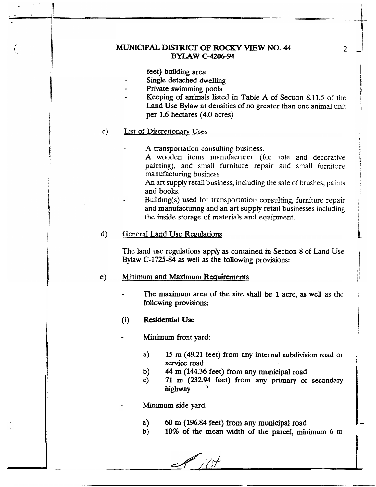### **MUNICIPAL DISTRICI' OF ROCKY VIEW NO. 44 BYLAW C-4206-94**

feet) building area

- Single detached dwelling
- Private **swimming** pools
	- Keeping of animals listed in Table A of Section **8.11.5** of the Land Use Bylaw at densities of no greater than one animal unit per 1.6 hectares **(4.0** acres)

#### List of Discretionarv Uses  $c)$

A transportation consulting business.

**A** wooden items manufacturer (for tole 2nd decorative painting), and small furniture repair and small furniture manufacturing business.

*An* art supply retail business, including the sale of brushes, paints and books.

Building(s) used for transportation consulting, furniture repair and manufacturing and an art supply retail businesses including the inside storage of materials and equipment.

#### d) General Land Use Regulations

The land use regulations apply **as** contained in Section 8 of Land Use Bylaw **C-1725-84** as well **as** the following provisions:

#### Minimum and Maximum Requirements e)

- The **maximum** area of the site shall be **1** acre, **as** well **as** the following provisions:
- (i) **Residential Use**
- **Minimum** front yard:
	- a) **<sup>15</sup>m (49.21** feet) **from any** internal subdivision road or **senice** road
	- b) **44** m **(144.36** feet) **from** any municipal road
	- **c) 71 m (232.94 feet) from any** primary or secondary **highway** '
- **Minimum** side yard:
	- **a)**  *60* **m (196.84 feet) from any municipal** road
	- **b) 10%** of the **mean** width of the parcel, **minimum** 6 m

*2*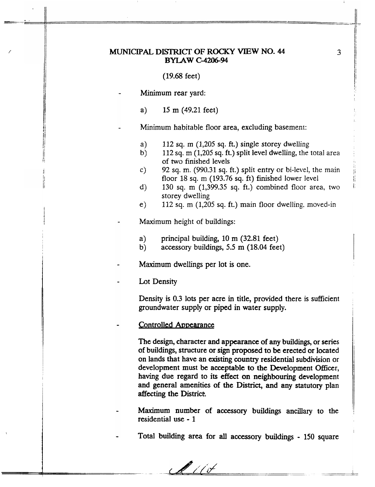## **MUNICIPAL DISTRICT OF ROCKY VIEW NO. 44 BYLAW** *C-420694*

#### (19.68 feet)

**Minimum** rear yard:

*f* 

(I li '

> ! i I

1

I/ li

I/ i/

'I

a) 15 m (49.21 feet)

Minimum habitable floor area, excluding basement:

- *a)*  **112 sq. m** (1,205 sq. **ft.)** single storey dwelling
- b) 112 sq. **m** (1,205 sq. ft.) split level dwelling, the total area of two finished levels
- c) 92 sq. m. (990.31 **sq.** ft.) split entry or bi-level, the main floor 18 sq. m (193.76 sq. ft) finished lower level
- d) 130 sq. m (1,399.35 sq. ft.) combined floor area, two storey dwelling
- e) 112 **sq.** m (1,205 sq. ft.) main floor dwelling. moved-in
- Maximum height of buildings:
	- **a)**  principal building, 10 m (32.81 feet)
	- b) accessory buildings, *5.5* m **(18.04** feet)
- **Maximum** dwellings per lot is one.
- Lot Density

Density is 0.3 **lots** per acre in title, provided there is sufficient groundwater supply or piped in water supply.

#### Controlled Appearance

The design, character and appearance of **any** buildings, or series of buildings, structure or sign proposed **to** be erected or located on lands that have an existing **country** residential subdivision or development must be acceptable **to** the Development Officer, having due regard **to** its **effect on** neighbouring development and general amenities of the **District,** and **any** statutory plan affecting the District.

- **Maximum number** of **accessory** buildings ancillary to the residential use - 1
	- Total building area for **all accessory** buildings **150** square

 $\mathscr{M}/\mathscr{N}$ 

**3** 

 $\left\{ \cdot \right\}$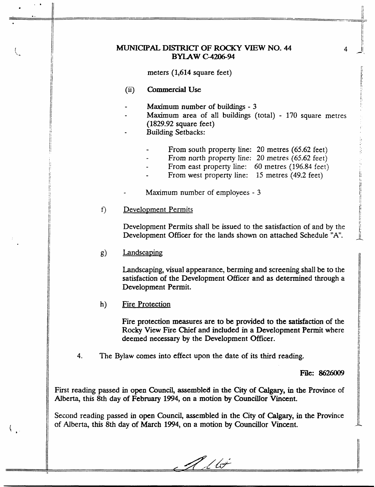### MUNICIPAL **DISTRICI' OF ROCKY VIEW NO. 44 BYLAW 6-4206-94**

meters **(1,614** square feet)

 $(ii)$ **Commercial Use** 

. II

*I B'* 

- **Maximum** number of buildings 3
- **Maximum** area of all buildings (total) 170 square metres **(1829.92** square feet)
- Building Setbacks:
	- From south property line: 20 metres (65.62 feet)
	- From north property line: 20 metres (65.62 feet)
	- From east property line: 60 metres (196.84 feet)
	- From west property line: 15 metres (49.2 feet)

**Maximum** number of employees - 3

 $f$ ) Development Permits

> Development Permits shall be issued to the satisfaction of and by the Development Officer for the lands shown on attached Schedule "A'.

 $g)$ **Landscaping** 

> Landscaping, **visua1** appearance, berming and screening shall be to the satisfaction of the Development Officer and **as** determined through a Development Permit.

 $h)$ Fire Protection

> Fire protection measures are **to** be provided **to** the **satisfaction** of the Rocky View Fire **Chief** and included in **a** Development Permit where deemed necessary **by** the Development Officer.

**4.**  The Bylaw **comes** into effect upon the date of its third reading.

**File:** *8626009* 

First reading passed in open Council, assembled in the City of Calgary, in the Province of Alberta, this 8th day of **February 1994, on a** motion **by** Councillor Vincent.

Second reading passed in **open** Council, assembled in **the** City **of** *Calgary,* in **the** Province of Alberta, this **8th** day of **March 1994, on a motion by** Councillor **Vincent.** 

Í.

/ toj

**4**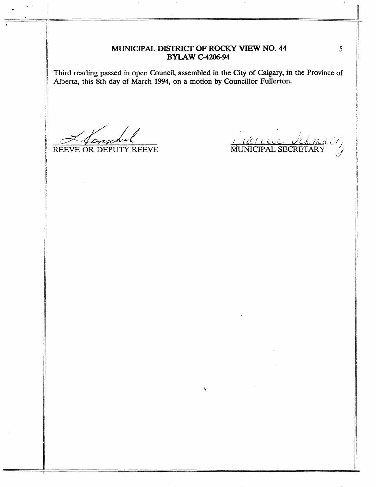# MUNICIPAL **DISTRICT' OF ROCKY VIEW NO. 44 BYLAW C-4206-94**

**Third reading passed** in **open Council, assembled in the City of** *Calgary,* **in the Province of**  Nberta, **this 8th day** of **March 1994, on a motion by Councillor Fullerton.** 

**i** 

REEVE OR DEPUTY REEVE

COLOCO VOLMICI

*5*